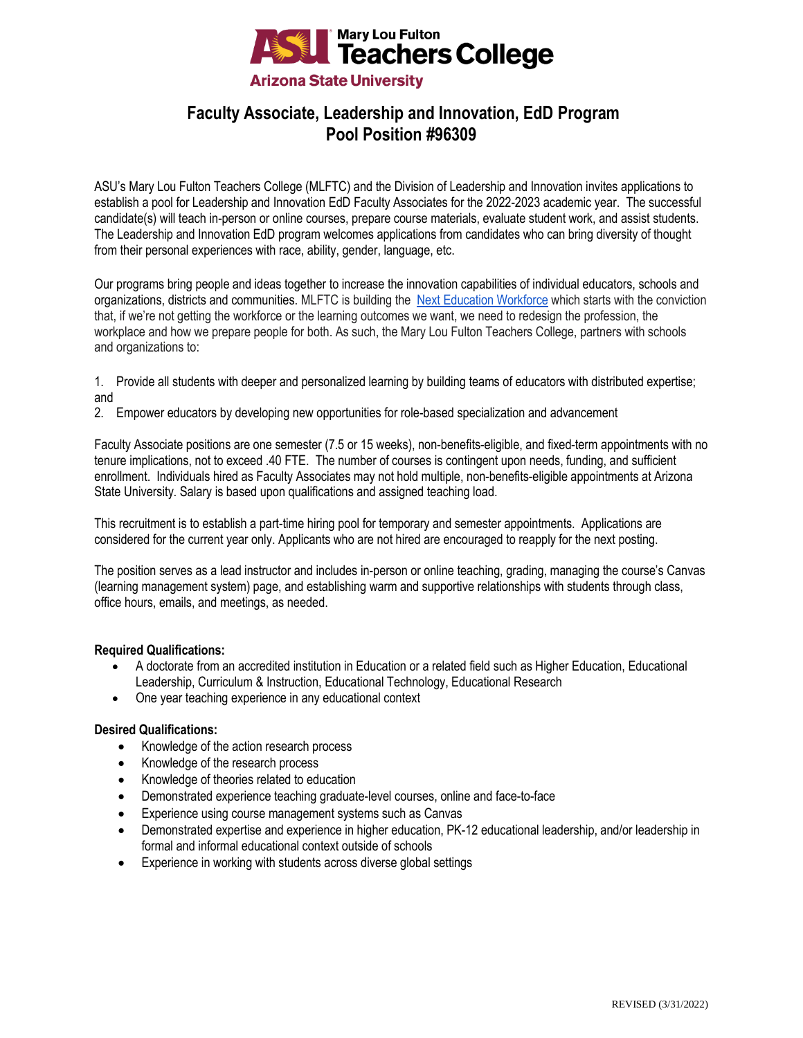

# **Faculty Associate, Leadership and Innovation, EdD Program Pool Position #96309**

ASU's Mary Lou Fulton Teachers College (MLFTC) and the Division of Leadership and Innovation invites applications to establish a pool for Leadership and Innovation EdD Faculty Associates for the 2022-2023 academic year. The successful candidate(s) will teach in-person or online courses, prepare course materials, evaluate student work, and assist students. The Leadership and Innovation EdD program welcomes applications from candidates who can bring diversity of thought from their personal experiences with race, ability, gender, language, etc.

Our programs bring people and ideas together to increase the innovation capabilities of individual educators, schools and organizations, districts and communities. MLFTC is building the [Next Education Workforce](https://workforce.education.asu.edu/?utm_source=mlftc&utm_medium=redirect&utm_campaign=top_nav) which starts with the conviction that, if we're not getting the workforce or the learning outcomes we want, we need to redesign the profession, the workplace and how we prepare people for both. As such, the Mary Lou Fulton Teachers College, partners with schools and organizations to:

- 1. Provide all students with deeper and personalized learning by building teams of educators with distributed expertise; and
- 2. Empower educators by developing new opportunities for role-based specialization and advancement

Faculty Associate positions are one semester (7.5 or 15 weeks), non-benefits-eligible, and fixed-term appointments with no tenure implications, not to exceed .40 FTE. The number of courses is contingent upon needs, funding, and sufficient enrollment. Individuals hired as Faculty Associates may not hold multiple, non-benefits-eligible appointments at Arizona State University. Salary is based upon qualifications and assigned teaching load.

This recruitment is to establish a part-time hiring pool for temporary and semester appointments. Applications are considered for the current year only. Applicants who are not hired are encouraged to reapply for the next posting.

The position serves as a lead instructor and includes in-person or online teaching, grading, managing the course's Canvas (learning management system) page, and establishing warm and supportive relationships with students through class, office hours, emails, and meetings, as needed.

## **Required Qualifications:**

- A doctorate from an accredited institution in Education or a related field such as Higher Education, Educational Leadership, Curriculum & Instruction, Educational Technology, Educational Research
- One year teaching experience in any educational context

## **Desired Qualifications:**

- Knowledge of the action research process
- Knowledge of the research process
- Knowledge of theories related to education
- Demonstrated experience teaching graduate-level courses, online and face-to-face
- Experience using course management systems such as Canvas
- Demonstrated expertise and experience in higher education, PK-12 educational leadership, and/or leadership in formal and informal educational context outside of schools
- Experience in working with students across diverse global settings